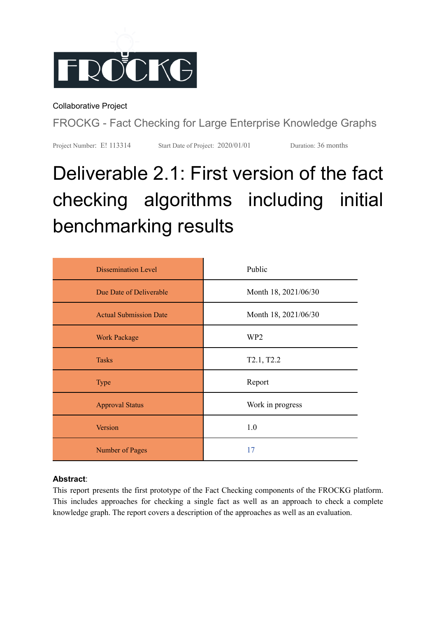

Collaborative Project

FROCKG - Fact Checking for Large Enterprise Knowledge Graphs

Project Number: E! 113314 Start Date of Project: 2020/01/01 Duration: 36 months

# Deliverable 2.1: First version of the fact checking algorithms including initial benchmarking results

| <b>Dissemination Level</b>    | Public               |
|-------------------------------|----------------------|
| Due Date of Deliverable       | Month 18, 2021/06/30 |
| <b>Actual Submission Date</b> | Month 18, 2021/06/30 |
| <b>Work Package</b>           | WP <sub>2</sub>      |
| <b>Tasks</b>                  | T2.1, T2.2           |
| <b>Type</b>                   | Report               |
| <b>Approval Status</b>        | Work in progress     |
| Version                       | 1.0                  |
| Number of Pages               | 17                   |

#### **Abstract**:

This report presents the first prototype of the Fact Checking components of the FROCKG platform. This includes approaches for checking a single fact as well as an approach to check a complete knowledge graph. The report covers a description of the approaches as well as an evaluation.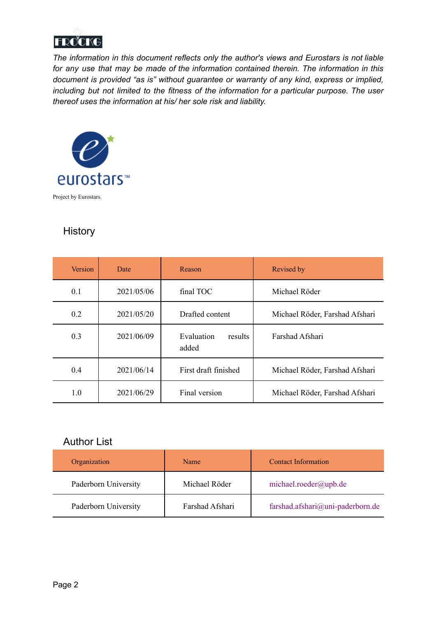

*The information in this document reflects only the author's views and Eurostars is not liable for any use that may be made of the information contained therein. The information in this document is provided "as is" without guarantee or warranty of any kind, express or implied, including but not limited to the fitness of the information for a particular purpose. The user thereof uses the information at his/ her sole risk and liability.*



### **History**

| <b>Version</b> | Date       | Reason                         | Revised by                     |
|----------------|------------|--------------------------------|--------------------------------|
| 0.1            | 2021/05/06 | final TOC                      | Michael Röder                  |
| 0.2            | 2021/05/20 | Drafted content                | Michael Röder, Farshad Afshari |
| 0.3            | 2021/06/09 | Evaluation<br>results<br>added | Farshad Afshari                |
| 0.4            | 2021/06/14 | First draft finished           | Michael Röder, Farshad Afshari |
| 1.0            | 2021/06/29 | Final version                  | Michael Röder, Farshad Afshari |

#### Author List

| Organization         | Name            | <b>Contact Information</b>       |
|----------------------|-----------------|----------------------------------|
| Paderborn University | Michael Röder   | michael.roeder@upb.de            |
| Paderborn University | Farshad Afshari | farshad.afshari@uni-paderborn.de |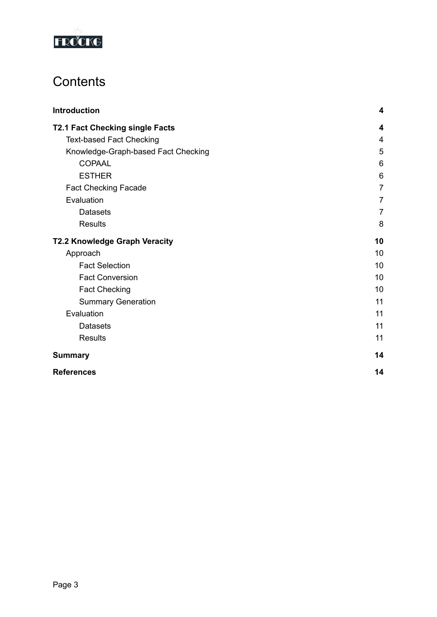

# **Contents**

| Introduction                           | 4              |
|----------------------------------------|----------------|
| <b>T2.1 Fact Checking single Facts</b> | 4              |
| <b>Text-based Fact Checking</b>        | $\overline{4}$ |
| Knowledge-Graph-based Fact Checking    | 5              |
| <b>COPAAL</b>                          | 6              |
| <b>ESTHER</b>                          | 6              |
| <b>Fact Checking Facade</b>            | $\overline{7}$ |
| Evaluation                             | $\overline{7}$ |
| <b>Datasets</b>                        | 7              |
| <b>Results</b>                         | 8              |
| <b>T2.2 Knowledge Graph Veracity</b>   | 10             |
| Approach                               | 10             |
| <b>Fact Selection</b>                  | 10             |
| <b>Fact Conversion</b>                 | 10             |
| <b>Fact Checking</b>                   | 10             |
| <b>Summary Generation</b>              | 11             |
| Evaluation                             | 11             |
| <b>Datasets</b>                        | 11             |
| <b>Results</b>                         | 11             |
| <b>Summary</b>                         | 14             |
| <b>References</b>                      | 14             |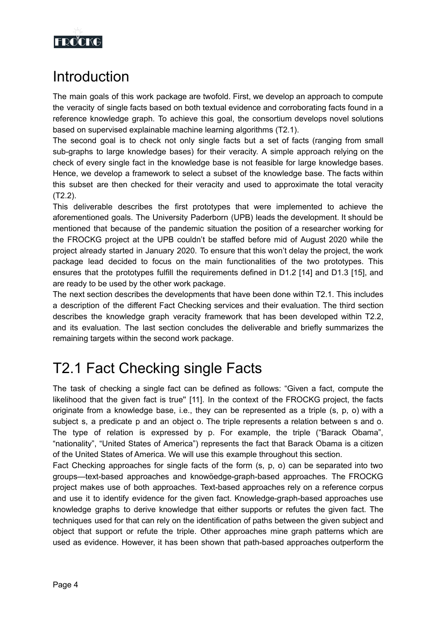

# <span id="page-3-0"></span>**Introduction**

The main goals of this work package are twofold. First, we develop an approach to compute the veracity of single facts based on both textual evidence and corroborating facts found in a reference knowledge graph. To achieve this goal, the consortium develops novel solutions based on supervised explainable machine learning algorithms (T2.1).

The second goal is to check not only single facts but a set of facts (ranging from small sub-graphs to large knowledge bases) for their veracity. A simple approach relying on the check of every single fact in the knowledge base is not feasible for large knowledge bases. Hence, we develop a framework to select a subset of the knowledge base. The facts within this subset are then checked for their veracity and used to approximate the total veracity (T2.2).

This deliverable describes the first prototypes that were implemented to achieve the aforementioned goals. The University Paderborn (UPB) leads the development. It should be mentioned that because of the pandemic situation the position of a researcher working for the FROCKG project at the UPB couldn't be staffed before mid of August 2020 while the project already started in January 2020. To ensure that this won't delay the project, the work package lead decided to focus on the main functionalities of the two prototypes. This ensures that the prototypes fulfill the requirements defined in D1.2 [14] and D1.3 [15], and are ready to be used by the other work package.

The next section describes the developments that have been done within T2.1. This includes a description of the different Fact Checking services and their evaluation. The third section describes the knowledge graph veracity framework that has been developed within T2.2, and its evaluation. The last section concludes the deliverable and briefly summarizes the remaining targets within the second work package.

# <span id="page-3-1"></span>T2.1 Fact Checking single Facts

The task of checking a single fact can be defined as follows: "Given a fact, compute the likelihood that the given fact is true" [11]. In the context of the FROCKG project, the facts originate from a knowledge base, i.e., they can be represented as a triple (s, p, o) with a subject s, a predicate p and an object o. The triple represents a relation between s and o. The type of relation is expressed by p. For example, the triple ("Barack Obama", "nationality", "United States of America") represents the fact that Barack Obama is a citizen of the United States of America. We will use this example throughout this section.

Fact Checking approaches for single facts of the form (s, p, o) can be separated into two groups—text-based approaches and knowöedge-graph-based approaches. The FROCKG project makes use of both approaches. Text-based approaches rely on a reference corpus and use it to identify evidence for the given fact. Knowledge-graph-based approaches use knowledge graphs to derive knowledge that either supports or refutes the given fact. The techniques used for that can rely on the identification of paths between the given subject and object that support or refute the triple. Other approaches mine graph patterns which are used as evidence. However, it has been shown that path-based approaches outperform the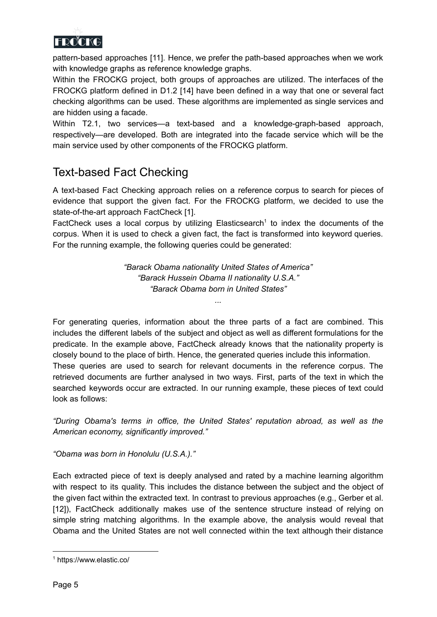

pattern-based approaches [11]. Hence, we prefer the path-based approaches when we work with knowledge graphs as reference knowledge graphs.

Within the FROCKG project, both groups of approaches are utilized. The interfaces of the FROCKG platform defined in D1.2 [14] have been defined in a way that one or several fact checking algorithms can be used. These algorithms are implemented as single services and are hidden using a facade.

Within T2.1, two services—a text-based and a knowledge-graph-based approach, respectively—are developed. Both are integrated into the facade service which will be the main service used by other components of the FROCKG platform.

### <span id="page-4-0"></span>Text-based Fact Checking

A text-based Fact Checking approach relies on a reference corpus to search for pieces of evidence that support the given fact. For the FROCKG platform, we decided to use the state-of-the-art approach FactCheck [1].

FactCheck uses a local corpus by utilizing Elasticsearch<sup>1</sup> to index the documents of the corpus. When it is used to check a given fact, the fact is transformed into keyword queries. For the running example, the following queries could be generated:

> *"Barack Obama nationality United States of America" "Barack Hussein Obama II nationality U.S.A." "Barack Obama born in United States"*

> > *...*

For generating queries, information about the three parts of a fact are combined. This includes the different labels of the subject and object as well as different formulations for the predicate. In the example above, FactCheck already knows that the nationality property is closely bound to the place of birth. Hence, the generated queries include this information. These queries are used to search for relevant documents in the reference corpus. The retrieved documents are further analysed in two ways. First, parts of the text in which the searched keywords occur are extracted. In our running example, these pieces of text could look as follows:

*"During Obama's terms in office, the United States' reputation abroad, as well as the American economy, significantly improved."*

*"Obama was born in Honolulu (U.S.A.)."*

Each extracted piece of text is deeply analysed and rated by a machine learning algorithm with respect to its quality. This includes the distance between the subject and the object of the given fact within the extracted text. In contrast to previous approaches (e.g., Gerber et al. [12]), FactCheck additionally makes use of the sentence structure instead of relying on simple string matching algorithms. In the example above, the analysis would reveal that Obama and the United States are not well connected within the text although their distance

<sup>1</sup> https://www.elastic.co/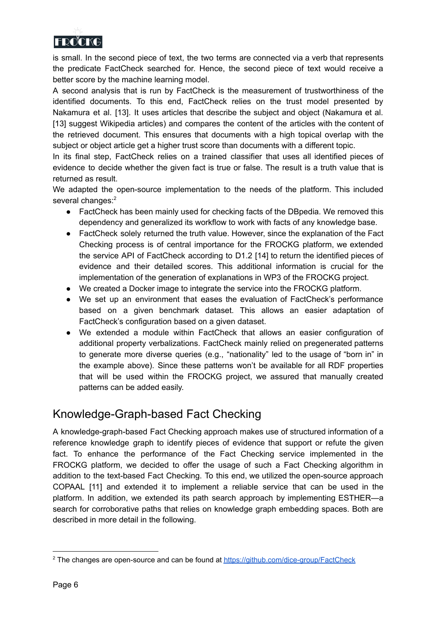

is small. In the second piece of text, the two terms are connected via a verb that represents the predicate FactCheck searched for. Hence, the second piece of text would receive a better score by the machine learning model.

A second analysis that is run by FactCheck is the measurement of trustworthiness of the identified documents. To this end, FactCheck relies on the trust model presented by Nakamura et al. [13]. It uses articles that describe the subject and object (Nakamura et al. [13] suggest Wikipedia articles) and compares the content of the articles with the content of the retrieved document. This ensures that documents with a high topical overlap with the subject or object article get a higher trust score than documents with a different topic.

In its final step, FactCheck relies on a trained classifier that uses all identified pieces of evidence to decide whether the given fact is true or false. The result is a truth value that is returned as result.

We adapted the open-source implementation to the needs of the platform. This included several changes:<sup>2</sup>

- FactCheck has been mainly used for checking facts of the DBpedia. We removed this dependency and generalized its workflow to work with facts of any knowledge base.
- FactCheck solely returned the truth value. However, since the explanation of the Fact Checking process is of central importance for the FROCKG platform, we extended the service API of FactCheck according to D1.2 [14] to return the identified pieces of evidence and their detailed scores. This additional information is crucial for the implementation of the generation of explanations in WP3 of the FROCKG project.
- We created a Docker image to integrate the service into the FROCKG platform.
- We set up an environment that eases the evaluation of FactCheck's performance based on a given benchmark dataset. This allows an easier adaptation of FactCheck's configuration based on a given dataset.
- We extended a module within FactCheck that allows an easier configuration of additional property verbalizations. FactCheck mainly relied on pregenerated patterns to generate more diverse queries (e.g., "nationality" led to the usage of "born in" in the example above). Since these patterns won't be available for all RDF properties that will be used within the FROCKG project, we assured that manually created patterns can be added easily.

### <span id="page-5-0"></span>Knowledge-Graph-based Fact Checking

A knowledge-graph-based Fact Checking approach makes use of structured information of a reference knowledge graph to identify pieces of evidence that support or refute the given fact. To enhance the performance of the Fact Checking service implemented in the FROCKG platform, we decided to offer the usage of such a Fact Checking algorithm in addition to the text-based Fact Checking. To this end, we utilized the open-source approach COPAAL [11] and extended it to implement a reliable service that can be used in the platform. In addition, we extended its path search approach by implementing ESTHER—a search for corroborative paths that relies on knowledge graph embedding spaces. Both are described in more detail in the following.

<sup>&</sup>lt;sup>2</sup> The changes are open-source and can be found at <https://github.com/dice-group/FactCheck>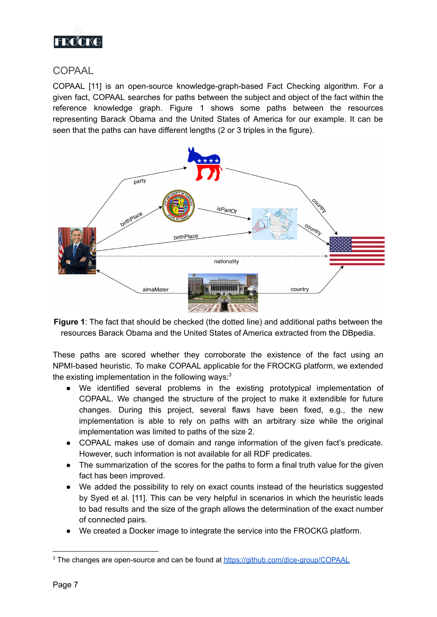

#### <span id="page-6-0"></span>**COPAAL**

COPAAL [11] is an open-source knowledge-graph-based Fact Checking algorithm. For a given fact, COPAAL searches for paths between the subject and object of the fact within the reference knowledge graph. Figure 1 shows some paths between the resources representing Barack Obama and the United States of America for our example. It can be seen that the paths can have different lengths (2 or 3 triples in the figure).



**Figure 1**: The fact that should be checked (the dotted line) and additional paths between the resources Barack Obama and the United States of America extracted from the DBpedia.

These paths are scored whether they corroborate the existence of the fact using an NPMI-based heuristic. To make COPAAL applicable for the FROCKG platform, we extended the existing implementation in the following ways: $3$ 

- We identified several problems in the existing prototypical implementation of COPAAL. We changed the structure of the project to make it extendible for future changes. During this project, several flaws have been fixed, e.g., the new implementation is able to rely on paths with an arbitrary size while the original implementation was limited to paths of the size 2.
- COPAAL makes use of domain and range information of the given fact's predicate. However, such information is not available for all RDF predicates.
- The summarization of the scores for the paths to form a final truth value for the given fact has been improved.
- We added the possibility to rely on exact counts instead of the heuristics suggested by Syed et al. [11]. This can be very helpful in scenarios in which the heuristic leads to bad results and the size of the graph allows the determination of the exact number of connected pairs.
- We created a Docker image to integrate the service into the FROCKG platform.

<sup>&</sup>lt;sup>3</sup> The changes are open-source and can be found at <https://github.com/dice-group/COPAAL>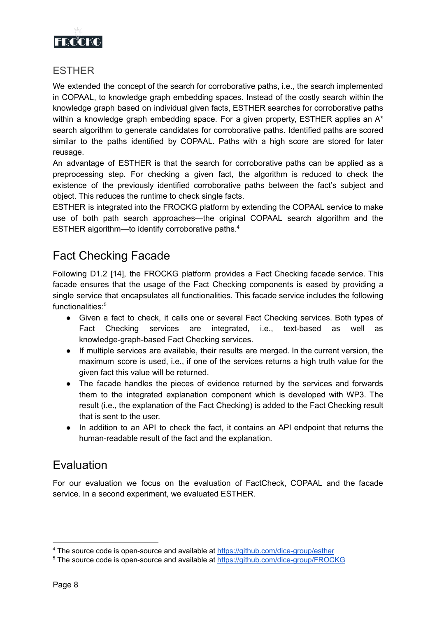

#### <span id="page-7-0"></span>ESTHER

We extended the concept of the search for corroborative paths, i.e., the search implemented in COPAAL, to knowledge graph embedding spaces. Instead of the costly search within the knowledge graph based on individual given facts, ESTHER searches for corroborative paths within a knowledge graph embedding space. For a given property, ESTHER applies an A<sup>\*</sup> search algorithm to generate candidates for corroborative paths. Identified paths are scored similar to the paths identified by COPAAL. Paths with a high score are stored for later reusage.

An advantage of ESTHER is that the search for corroborative paths can be applied as a preprocessing step. For checking a given fact, the algorithm is reduced to check the existence of the previously identified corroborative paths between the fact's subject and object. This reduces the runtime to check single facts.

ESTHER is integrated into the FROCKG platform by extending the COPAAL service to make use of both path search approaches—the original COPAAL search algorithm and the ESTHER algorithm—to identify corroborative paths. 4

### <span id="page-7-1"></span>Fact Checking Facade

Following D1.2 [14], the FROCKG platform provides a Fact Checking facade service. This facade ensures that the usage of the Fact Checking components is eased by providing a single service that encapsulates all functionalities. This facade service includes the following functionalities: 5

- Given a fact to check, it calls one or several Fact Checking services. Both types of Fact Checking services are integrated, i.e., text-based as well as knowledge-graph-based Fact Checking services.
- If multiple services are available, their results are merged. In the current version, the maximum score is used, i.e., if one of the services returns a high truth value for the given fact this value will be returned.
- The facade handles the pieces of evidence returned by the services and forwards them to the integrated explanation component which is developed with WP3. The result (i.e., the explanation of the Fact Checking) is added to the Fact Checking result that is sent to the user.
- In addition to an API to check the fact, it contains an API endpoint that returns the human-readable result of the fact and the explanation.

### <span id="page-7-2"></span>Evaluation

For our evaluation we focus on the evaluation of FactCheck, COPAAL and the facade service. In a second experiment, we evaluated ESTHER.

<sup>4</sup> The source code is open-source and available at <https://github.com/dice-group/esther>

<sup>&</sup>lt;sup>5</sup> The source code is open-source and available at <https://github.com/dice-group/FROCKG>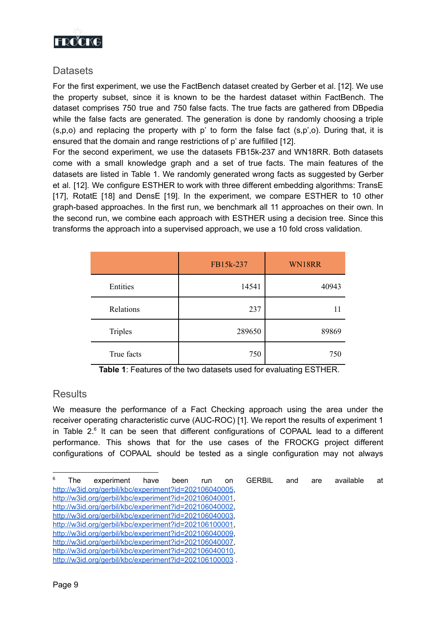

#### <span id="page-8-0"></span>**Datasets**

For the first experiment, we use the FactBench dataset created by Gerber et al. [12]. We use the property subset, since it is known to be the hardest dataset within FactBench. The dataset comprises 750 true and 750 false facts. The true facts are gathered from DBpedia while the false facts are generated. The generation is done by randomly choosing a triple  $(s,p,o)$  and replacing the property with p' to form the false fact  $(s,p',o)$ . During that, it is ensured that the domain and range restrictions of p' are fulfilled [12].

For the second experiment, we use the datasets FB15k-237 and WN18RR. Both datasets come with a small knowledge graph and a set of true facts. The main features of the datasets are listed in Table 1. We randomly generated wrong facts as suggested by Gerber et al. [12]. We configure ESTHER to work with three different embedding algorithms: TransE [17], RotatE [18] and DensE [19]. In the experiment, we compare ESTHER to 10 other graph-based approaches. In the first run, we benchmark all 11 approaches on their own. In the second run, we combine each approach with ESTHER using a decision tree. Since this transforms the approach into a supervised approach, we use a 10 fold cross validation.

|                | FB15k-237 | WN18RR |
|----------------|-----------|--------|
| Entities       | 14541     | 40943  |
| Relations      | 237       | 11     |
| <b>Triples</b> | 289650    | 89869  |
| True facts     | 750       | 750    |

**Table 1**: Features of the two datasets used for evaluating ESTHER.

#### <span id="page-8-1"></span>**Results**

We measure the performance of a Fact Checking approach using the area under the receiver operating characteristic curve (AUC-ROC) [1]. We report the results of experiment 1 in Table  $2.6$  It can be seen that different configurations of COPAAL lead to a different performance. This shows that for the use cases of the FROCKG project different configurations of COPAAL should be tested as a single configuration may not always

<sup>&</sup>lt;sup>6</sup> The experiment have been run on GERBIL and are available at <http://w3id.org/gerbil/kbc/experiment?id=202106040005>, <http://w3id.org/gerbil/kbc/experiment?id=202106040001>, <http://w3id.org/gerbil/kbc/experiment?id=202106040002>, <http://w3id.org/gerbil/kbc/experiment?id=202106040003>, <http://w3id.org/gerbil/kbc/experiment?id=202106100001>, <http://w3id.org/gerbil/kbc/experiment?id=202106040009>, <http://w3id.org/gerbil/kbc/experiment?id=202106040007>, <http://w3id.org/gerbil/kbc/experiment?id=202106040010>, <http://w3id.org/gerbil/kbc/experiment?id=202106100003>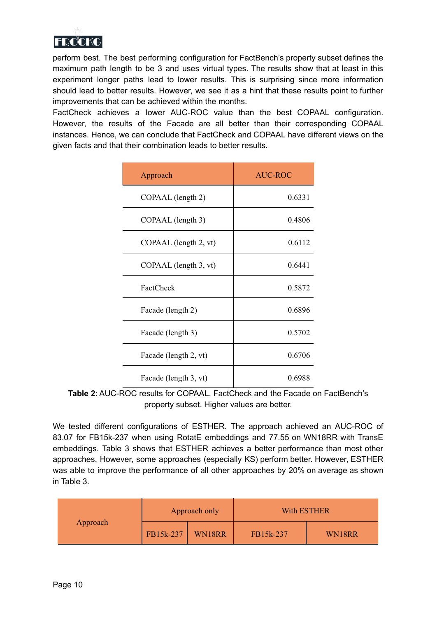

perform best. The best performing configuration for FactBench's property subset defines the maximum path length to be 3 and uses virtual types. The results show that at least in this experiment longer paths lead to lower results. This is surprising since more information should lead to better results. However, we see it as a hint that these results point to further improvements that can be achieved within the months.

FactCheck achieves a lower AUC-ROC value than the best COPAAL configuration. However, the results of the Facade are all better than their corresponding COPAAL instances. Hence, we can conclude that FactCheck and COPAAL have different views on the given facts and that their combination leads to better results.

| Approach              | AUC-ROC |
|-----------------------|---------|
| COPAAL (length 2)     | 0.6331  |
| COPAAL (length 3)     | 0.4806  |
| COPAAL (length 2, vt) | 0.6112  |
| COPAAL (length 3, vt) | 0.6441  |
| FactCheck             | 0.5872  |
| Facade (length 2)     | 0.6896  |
| Facade (length 3)     | 0.5702  |
| Facade (length 2, vt) | 0.6706  |
| Facade (length 3, vt) | 0.6988  |

**Table 2**: AUC-ROC results for COPAAL, FactCheck and the Facade on FactBench's property subset. Higher values are better.

We tested different configurations of ESTHER. The approach achieved an AUC-ROC of 83.07 for FB15k-237 when using RotatE embeddings and 77.55 on WN18RR with TransE embeddings. Table 3 shows that ESTHER achieves a better performance than most other approaches. However, some approaches (especially KS) perform better. However, ESTHER was able to improve the performance of all other approaches by 20% on average as shown in Table 3.

|          | Approach only |        | With ESTHER |        |
|----------|---------------|--------|-------------|--------|
| Approach | FB15k-237     | WN18RR | FB15k-237   | WN18RR |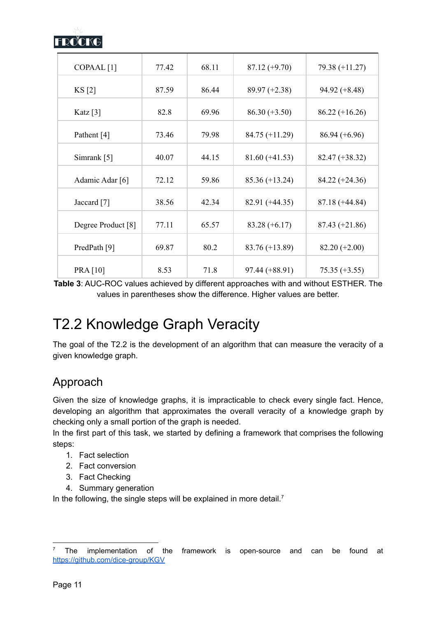

| COPAAL <sup>[1]</sup>  | 77.42 | 68.11 | $87.12 (+9.70)$  | $79.38 (+11.27)$ |
|------------------------|-------|-------|------------------|------------------|
|                        |       |       |                  |                  |
| KS[2]                  | 87.59 | 86.44 | $89.97 (+2.38)$  | $94.92 (+8.48)$  |
| Katz $\lceil 3 \rceil$ | 82.8  | 69.96 | $86.30 (+3.50)$  | $86.22 (+16.26)$ |
| Pathent [4]            | 73.46 | 79.98 | $84.75 (+11.29)$ | $86.94 (+6.96)$  |
| Simrank [5]            | 40.07 | 44.15 | $81.60 (+41.53)$ | $82.47 (+38.32)$ |
| Adamic Adar [6]        | 72.12 | 59.86 | $85.36 (+13.24)$ | $84.22 (+24.36)$ |
| Jaccard [7]            | 38.56 | 42.34 | $82.91 (+44.35)$ | $87.18 (+44.84)$ |
| Degree Product [8]     | 77.11 | 65.57 | $83.28 (+6.17)$  | $87.43 (+21.86)$ |
| PredPath [9]           | 69.87 | 80.2  | $83.76 (+13.89)$ | $82.20 (+2.00)$  |
| <b>PRA</b> [10]        | 8.53  | 71.8  | $97.44 (+88.91)$ | $75.35 (+3.55)$  |

**Table 3**: AUC-ROC values achieved by different approaches with and without ESTHER. The values in parentheses show the difference. Higher values are better.

# <span id="page-10-0"></span>T2.2 Knowledge Graph Veracity

The goal of the T2.2 is the development of an algorithm that can measure the veracity of a given knowledge graph.

### Approach

Given the size of knowledge graphs, it is impracticable to check every single fact. Hence, developing an algorithm that approximates the overall veracity of a knowledge graph by checking only a small portion of the graph is needed.

In the first part of this task, we started by defining a framework that comprises the following steps:

- 1. Fact selection
- 2. Fact conversion
- 3. Fact Checking
- 4. Summary generation

In the following, the single steps will be explained in more detail.<sup>7</sup>

<sup>7</sup> The implementation of the framework is open-source and can be found at <https://github.com/dice-group/KGV>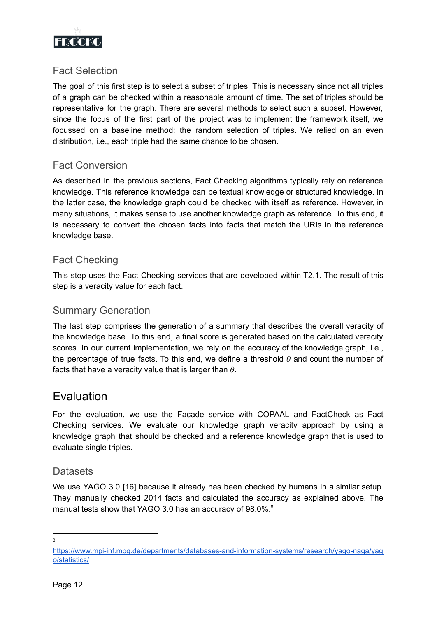

#### <span id="page-11-1"></span>Fact Selection

The goal of this first step is to select a subset of triples. This is necessary since not all triples of a graph can be checked within a reasonable amount of time. The set of triples should be representative for the graph. There are several methods to select such a subset. However, since the focus of the first part of the project was to implement the framework itself, we focussed on a baseline method: the random selection of triples. We relied on an even distribution, i.e., each triple had the same chance to be chosen.

#### <span id="page-11-2"></span>Fact Conversion

As described in the previous sections, Fact Checking algorithms typically rely on reference knowledge. This reference knowledge can be textual knowledge or structured knowledge. In the latter case, the knowledge graph could be checked with itself as reference. However, in many situations, it makes sense to use another knowledge graph as reference. To this end, it is necessary to convert the chosen facts into facts that match the URIs in the reference knowledge base.

#### <span id="page-11-3"></span>Fact Checking

This step uses the Fact Checking services that are developed within T2.1. The result of this step is a veracity value for each fact.

#### <span id="page-11-4"></span>Summary Generation

The last step comprises the generation of a summary that describes the overall veracity of the knowledge base. To this end, a final score is generated based on the calculated veracity scores. In our current implementation, we rely on the accuracy of the knowledge graph, i.e., the percentage of true facts. To this end, we define a threshold  $\theta$  and count the number of facts that have a veracity value that is larger than  $\theta$ .

#### <span id="page-11-0"></span>Evaluation

For the evaluation, we use the Facade service with COPAAL and FactCheck as Fact Checking services. We evaluate our knowledge graph veracity approach by using a knowledge graph that should be checked and a reference knowledge graph that is used to evaluate single triples.

#### <span id="page-11-5"></span>**Datasets**

We use YAGO 3.0 [16] because it already has been checked by humans in a similar setup. They manually checked 2014 facts and calculated the accuracy as explained above. The manual tests show that YAGO 3.0 has an accuracy of 98.0%.<sup>8</sup>

**8** 

[https://www.mpi-inf.mpg.de/departments/databases-and-information-systems/research/yago-naga/yag](https://www.mpi-inf.mpg.de/departments/databases-and-information-systems/research/yago-naga/yago/statistics/) [o/statistics/](https://www.mpi-inf.mpg.de/departments/databases-and-information-systems/research/yago-naga/yago/statistics/)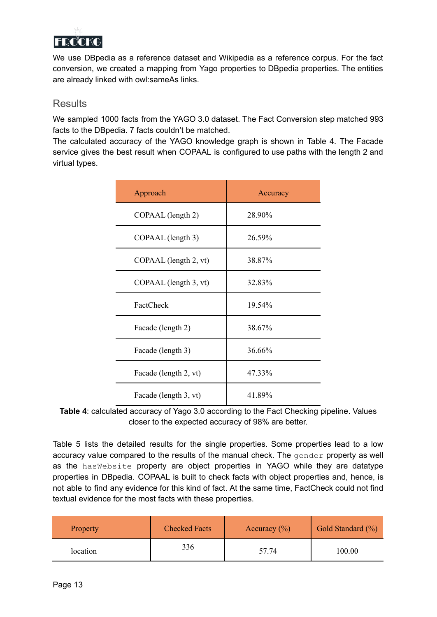

We use DBpedia as a reference dataset and Wikipedia as a reference corpus. For the fact conversion, we created a mapping from Yago properties to DBpedia properties. The entities are already linked with owl:sameAs links.

#### <span id="page-12-0"></span>**Results**

We sampled 1000 facts from the YAGO 3.0 dataset. The Fact Conversion step matched 993 facts to the DBpedia. 7 facts couldn't be matched.

The calculated accuracy of the YAGO knowledge graph is shown in Table 4. The Facade service gives the best result when COPAAL is configured to use paths with the length 2 and virtual types.

| Approach              | Accuracy |
|-----------------------|----------|
| COPAAL (length 2)     | 28.90%   |
| COPAAL (length 3)     | 26.59%   |
| COPAAL (length 2, vt) | 38.87%   |
| COPAAL (length 3, vt) | 32.83%   |
| FactCheck             | 19.54%   |
| Facade (length 2)     | 38.67%   |
| Facade (length 3)     | 36.66%   |
| Facade (length 2, vt) | 47.33%   |
| Facade (length 3, vt) | 41.89%   |

**Table 4**: calculated accuracy of Yago 3.0 according to the Fact Checking pipeline. Values closer to the expected accuracy of 98% are better.

Table 5 lists the detailed results for the single properties. Some properties lead to a low accuracy value compared to the results of the manual check. The gender property as well as the hasWebsite property are object properties in YAGO while they are datatype properties in DBpedia. COPAAL is built to check facts with object properties and, hence, is not able to find any evidence for this kind of fact. At the same time, FactCheck could not find textual evidence for the most facts with these properties.

| Property | <b>Checked Facts</b> | Accuracy $(\% )$ | Gold Standard (%) |
|----------|----------------------|------------------|-------------------|
| location | 336                  | 57.74            | 100.00            |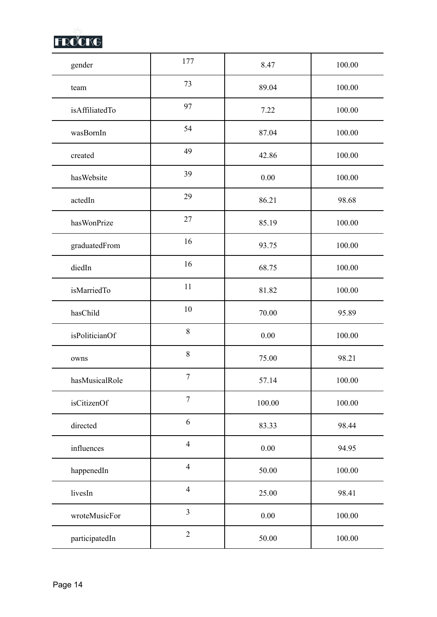

| gender         | 177            | 8.47   | 100.00     |
|----------------|----------------|--------|------------|
| team           | 73             | 89.04  | 100.00     |
| isAffiliatedTo | 97             | 7.22   | 100.00     |
| wasBornIn      | 54             | 87.04  | 100.00     |
| created        | 49             | 42.86  | 100.00     |
| hasWebsite     | 39             | 0.00   | 100.00     |
| actedIn        | 29             | 86.21  | 98.68      |
| hasWonPrize    | 27             | 85.19  | 100.00     |
| graduatedFrom  | 16             | 93.75  | 100.00     |
| diedIn         | 16             | 68.75  | 100.00     |
| isMarriedTo    | 11             | 81.82  | 100.00     |
| hasChild       | 10             | 70.00  | 95.89      |
| isPoliticianOf | $\,8\,$        | 0.00   | 100.00     |
| owns           | $\,8\,$        | 75.00  | 98.21      |
| hasMusicalRole | $\tau$         | 57.14  | 100.00     |
| isCitizenOf    | $\overline{7}$ | 100.00 | $100.00\,$ |
| directed       | 6              | 83.33  | 98.44      |
| influences     | $\overline{4}$ | 0.00   | 94.95      |
| happenedIn     | $\overline{4}$ | 50.00  | $100.00\,$ |
| livesIn        | $\overline{4}$ | 25.00  | 98.41      |
| wroteMusicFor  | $\overline{3}$ | 0.00   | 100.00     |
| participatedIn | $\sqrt{2}$     | 50.00  | $100.00\,$ |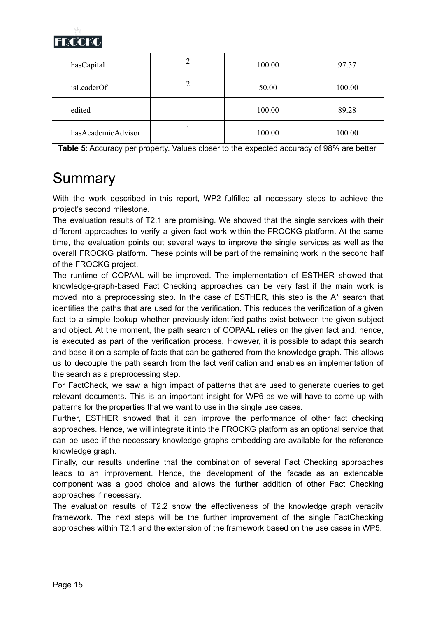

| hasCapital         | 2 | 100.00 | 97.37  |
|--------------------|---|--------|--------|
| isLeaderOf         | 2 | 50.00  | 100.00 |
| edited             |   | 100.00 | 89.28  |
| hasAcademicAdvisor |   | 100.00 | 100.00 |

<span id="page-14-0"></span>**Table 5**: Accuracy per property. Values closer to the expected accuracy of 98% are better.

# Summary

With the work described in this report, WP2 fulfilled all necessary steps to achieve the project's second milestone.

The evaluation results of T2.1 are promising. We showed that the single services with their different approaches to verify a given fact work within the FROCKG platform. At the same time, the evaluation points out several ways to improve the single services as well as the overall FROCKG platform. These points will be part of the remaining work in the second half of the FROCKG project.

The runtime of COPAAL will be improved. The implementation of ESTHER showed that knowledge-graph-based Fact Checking approaches can be very fast if the main work is moved into a preprocessing step. In the case of ESTHER, this step is the A\* search that identifies the paths that are used for the verification. This reduces the verification of a given fact to a simple lookup whether previously identified paths exist between the given subject and object. At the moment, the path search of COPAAL relies on the given fact and, hence, is executed as part of the verification process. However, it is possible to adapt this search and base it on a sample of facts that can be gathered from the knowledge graph. This allows us to decouple the path search from the fact verification and enables an implementation of the search as a preprocessing step.

For FactCheck, we saw a high impact of patterns that are used to generate queries to get relevant documents. This is an important insight for WP6 as we will have to come up with patterns for the properties that we want to use in the single use cases.

Further, ESTHER showed that it can improve the performance of other fact checking approaches. Hence, we will integrate it into the FROCKG platform as an optional service that can be used if the necessary knowledge graphs embedding are available for the reference knowledge graph.

Finally, our results underline that the combination of several Fact Checking approaches leads to an improvement. Hence, the development of the facade as an extendable component was a good choice and allows the further addition of other Fact Checking approaches if necessary.

The evaluation results of T2.2 show the effectiveness of the knowledge graph veracity framework. The next steps will be the further improvement of the single FactChecking approaches within T2.1 and the extension of the framework based on the use cases in WP5.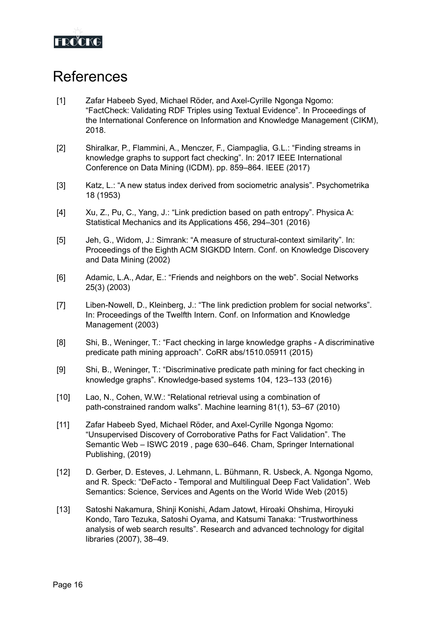

# <span id="page-15-0"></span>References

- [1] Zafar Habeeb Syed, Michael Röder, and Axel-Cyrille Ngonga Ngomo: "FactCheck: Validating RDF Triples using Textual Evidence". In Proceedings of the International Conference on Information and Knowledge Management (CIKM), 2018.
- [2] Shiralkar, P., Flammini, A., Menczer, F., Ciampaglia, G.L.: "Finding streams in knowledge graphs to support fact checking". In: 2017 IEEE International Conference on Data Mining (ICDM). pp. 859–864. IEEE (2017)
- [3] Katz, L.: "A new status index derived from sociometric analysis". Psychometrika 18 (1953)
- [4] Xu, Z., Pu, C., Yang, J.: "Link prediction based on path entropy". Physica A: Statistical Mechanics and its Applications 456, 294–301 (2016)
- [5] Jeh, G., Widom, J.: Simrank: "A measure of structural-context similarity". In: Proceedings of the Eighth ACM SIGKDD Intern. Conf. on Knowledge Discovery and Data Mining (2002)
- [6] Adamic, L.A., Adar, E.: "Friends and neighbors on the web". Social Networks 25(3) (2003)
- [7] Liben-Nowell, D., Kleinberg, J.: "The link prediction problem for social networks". In: Proceedings of the Twelfth Intern. Conf. on Information and Knowledge Management (2003)
- [8] Shi, B., Weninger, T.: "Fact checking in large knowledge graphs A discriminative predicate path mining approach". CoRR abs/1510.05911 (2015)
- [9] Shi, B., Weninger, T.: "Discriminative predicate path mining for fact checking in knowledge graphs". Knowledge-based systems 104, 123–133 (2016)
- [10] Lao, N., Cohen, W.W.: "Relational retrieval using a combination of path-constrained random walks". Machine learning 81(1), 53–67 (2010)
- [11] Zafar Habeeb Syed, Michael Röder, and Axel-Cyrille Ngonga Ngomo: "Unsupervised Discovery of Corroborative Paths for Fact Validation". The Semantic Web – ISWC 2019 , page 630–646. Cham, Springer International Publishing, (2019)
- [12] D. Gerber, D. Esteves, J. Lehmann, L. Bühmann, R. Usbeck, A. Ngonga Ngomo, and R. Speck: "DeFacto - Temporal and Multilingual Deep Fact Validation". Web Semantics: Science, Services and Agents on the World Wide Web (2015)
- [13] Satoshi Nakamura, Shinji Konishi, Adam Jatowt, Hiroaki Ohshima, Hiroyuki Kondo, Taro Tezuka, Satoshi Oyama, and Katsumi Tanaka: "Trustworthiness analysis of web search results". Research and advanced technology for digital libraries (2007), 38–49.